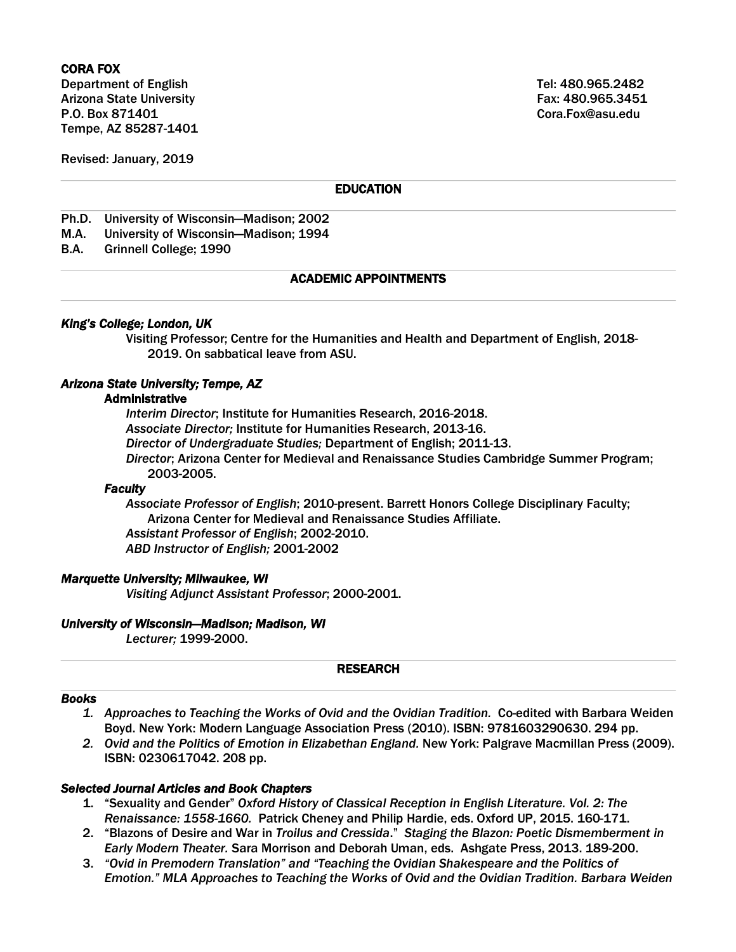# CORA FOX

Department of English Tel: 480.965.2482 Arizona State University **Fax: 480.965.3451** Fax: 480.965.3451 P.O. Box 871401 Cora.Fox@asu.edu Tempe, AZ 85287-1401

Revised: January, 2019

# **EDUCATION**

- Ph.D. University of Wisconsin—Madison; 2002
- M.A. University of Wisconsin—Madison; 1994
- B.A. Grinnell College; 1990

## ACADEMIC APPOINTMENTS

#### *King's College; London, UK*

Visiting Professor; Centre for the Humanities and Health and Department of English, 2018- 2019. On sabbatical leave from ASU.

#### *Arizona State University; Tempe, AZ*

#### Administrative

*Interim Director*; Institute for Humanities Research, 2016-2018. *Associate Director;* Institute for Humanities Research, 2013-16. *Director of Undergraduate Studies;* Department of English; 2011-13. *Director*; Arizona Center for Medieval and Renaissance Studies Cambridge Summer Program; 2003-2005.

#### *Faculty*

*Associate Professor of English*; 2010-present. Barrett Honors College Disciplinary Faculty; Arizona Center for Medieval and Renaissance Studies Affiliate. *Assistant Professor of English*; 2002-2010. *ABD Instructor of English;* 2001-2002

#### *Marquette University; Milwaukee, WI*

*Visiting Adjunct Assistant Professor*; 2000-2001.

#### *University of Wisconsin—Madison; Madison, WI*

*Lecturer;* 1999-2000.

#### RESEARCH

#### *Books*

- *1. Approaches to Teaching the Works of Ovid and the Ovidian Tradition.* Co-edited with Barbara Weiden Boyd. New York: Modern Language Association Press (2010). ISBN: 9781603290630. 294 pp.
- *2. Ovid and the Politics of Emotion in Elizabethan England.* New York: Palgrave Macmillan Press (2009). ISBN: 0230617042. 208 pp.

#### *Selected Journal Articles and Book Chapters*

- 1. "Sexuality and Gender" *Oxford History of Classical Reception in English Literature. Vol. 2: The Renaissance: 1558-1660.* Patrick Cheney and Philip Hardie, eds. Oxford UP, 2015. 160-171.
- 2. "Blazons of Desire and War in *Troilus and Cressida*." *Staging the Blazon: Poetic Dismemberment in Early Modern Theater.* Sara Morrison and Deborah Uman, eds. Ashgate Press, 2013. 189-200.
- 3. *"Ovid in Premodern Translation" and "Teaching the Ovidian Shakespeare and the Politics of Emotion." MLA Approaches to Teaching the Works of Ovid and the Ovidian Tradition. Barbara Weiden*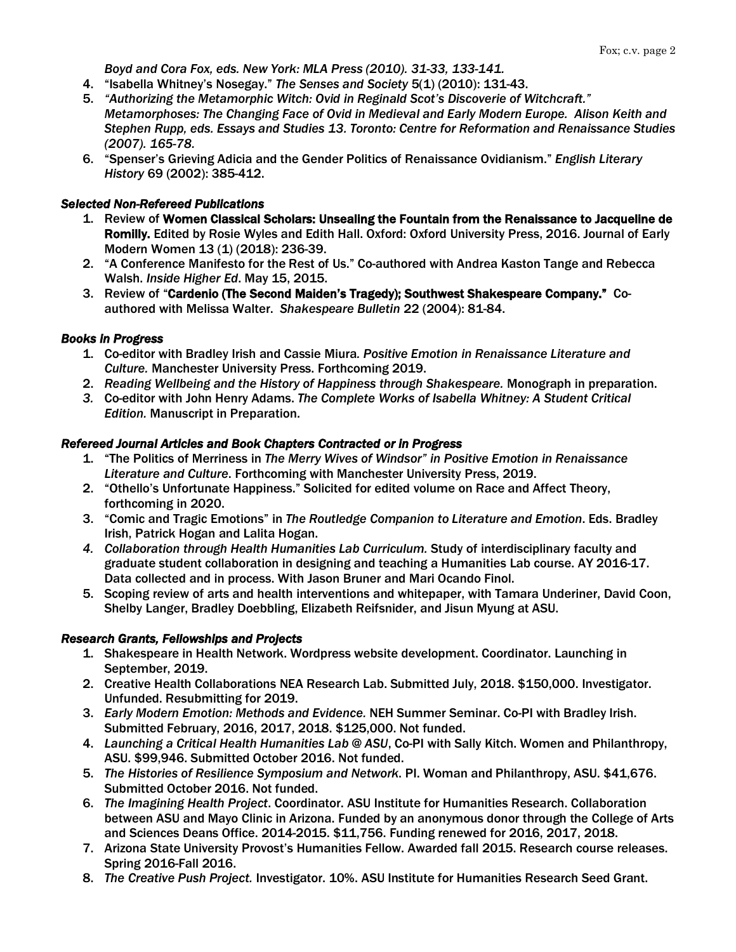*Boyd and Cora Fox, eds. New York: MLA Press (2010). 31-33, 133-141.*

- 4. "Isabella Whitney's Nosegay." *The Senses and Society* 5(1) (2010): 131-43.
- 5. *"Authorizing the Metamorphic Witch: Ovid in Reginald Scot's Discoverie of Witchcraft." Metamorphoses: The Changing Face of Ovid in Medieval and Early Modern Europe. Alison Keith and Stephen Rupp, eds. Essays and Studies 13. Toronto: Centre for Reformation and Renaissance Studies (2007). 165-78.*
- 6. "Spenser's Grieving Adicia and the Gender Politics of Renaissance Ovidianism." *English Literary History* 69 (2002): 385-412.

# *Selected Non-Refereed Publications*

- 1. Review of Women Classical Scholars: Unsealing the Fountain from the Renaissance to Jacqueline de Romilly. Edited by Rosie Wyles and Edith Hall. Oxford: Oxford University Press, 2016. Journal of Early Modern Women 13 (1) (2018): 236-39.
- 2. "A Conference Manifesto for the Rest of Us." Co-authored with Andrea Kaston Tange and Rebecca Walsh. *Inside Higher Ed*. May 15, 2015.
- 3. Review of "Cardenio (The Second Maiden's Tragedy); Southwest Shakespeare Company." Coauthored with Melissa Walter. *Shakespeare Bulletin* 22 (2004): 81-84.

# *Books in Progress*

- 1. Co-editor with Bradley Irish and Cassie Miura*. Positive Emotion in Renaissance Literature and Culture.* Manchester University Press. Forthcoming 2019.
- 2. *Reading Wellbeing and the History of Happiness through Shakespeare.* Monograph in preparation.
- *3.* Co-editor with John Henry Adams. *The Complete Works of Isabella Whitney: A Student Critical Edition.* Manuscript in Preparation.

# *Refereed Journal Articles and Book Chapters Contracted or in Progress*

- 1. "The Politics of Merriness in *The Merry Wives of Windsor" in Positive Emotion in Renaissance Literature and Culture*. Forthcoming with Manchester University Press, 2019.
- 2. "Othello's Unfortunate Happiness." Solicited for edited volume on Race and Affect Theory, forthcoming in 2020.
- 3. "Comic and Tragic Emotions" in *The Routledge Companion to Literature and Emotion*. Eds. Bradley Irish, Patrick Hogan and Lalita Hogan.
- *4. Collaboration through Health Humanities Lab Curriculum.* Study of interdisciplinary faculty and graduate student collaboration in designing and teaching a Humanities Lab course. AY 2016-17. Data collected and in process. With Jason Bruner and Mari Ocando Finol.
- 5. Scoping review of arts and health interventions and whitepaper, with Tamara Underiner, David Coon, Shelby Langer, Bradley Doebbling, Elizabeth Reifsnider, and Jisun Myung at ASU.

# *Research Grants, Fellowships and Projects*

- 1. Shakespeare in Health Network. Wordpress website development. Coordinator. Launching in September, 2019.
- 2. Creative Health Collaborations NEA Research Lab. Submitted July, 2018. \$150,000. Investigator. Unfunded. Resubmitting for 2019.
- 3. *Early Modern Emotion: Methods and Evidence.* NEH Summer Seminar. Co-PI with Bradley Irish. Submitted February, 2016, 2017, 2018. \$125,000. Not funded.
- 4. *Launching a Critical Health Humanities Lab @ ASU*, Co-PI with Sally Kitch. Women and Philanthropy, ASU. \$99,946. Submitted October 2016. Not funded.
- 5. *The Histories of Resilience Symposium and Network*. PI. Woman and Philanthropy, ASU. \$41,676. Submitted October 2016. Not funded.
- 6. *The Imagining Health Project*. Coordinator. ASU Institute for Humanities Research. Collaboration between ASU and Mayo Clinic in Arizona. Funded by an anonymous donor through the College of Arts and Sciences Deans Office. 2014-2015. \$11,756. Funding renewed for 2016, 2017, 2018.
- 7. Arizona State University Provost's Humanities Fellow. Awarded fall 2015. Research course releases. Spring 2016-Fall 2016.
- 8. *The Creative Push Project.* Investigator. 10%. ASU Institute for Humanities Research Seed Grant.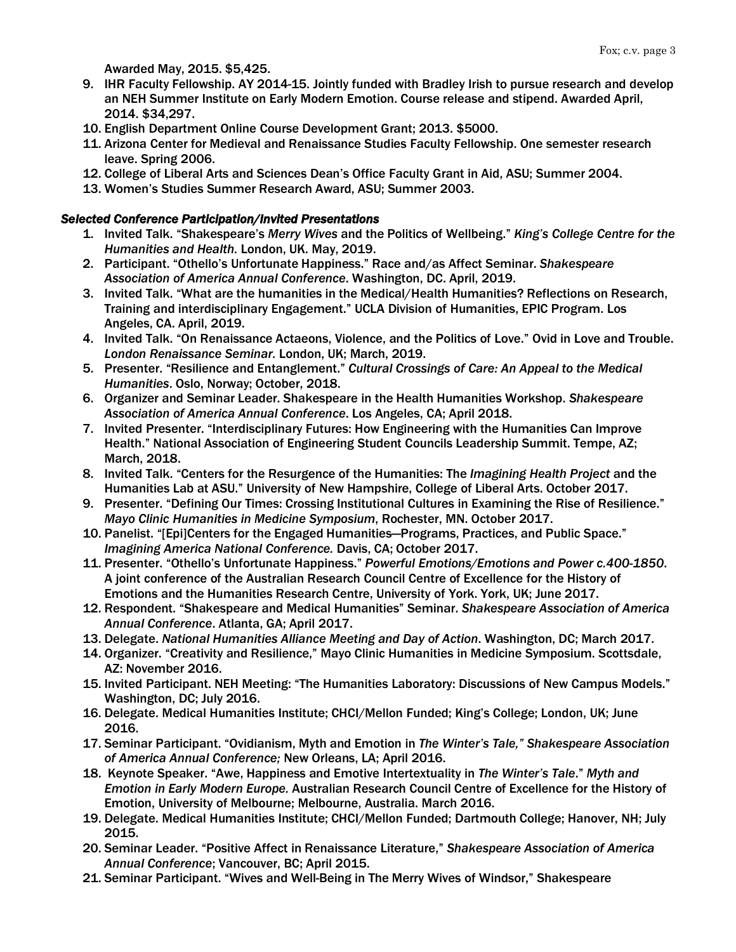Awarded May, 2015. \$5,425.

- 9. IHR Faculty Fellowship. AY 2014-15. Jointly funded with Bradley Irish to pursue research and develop an NEH Summer Institute on Early Modern Emotion. Course release and stipend. Awarded April, 2014. \$34,297.
- 10. English Department Online Course Development Grant; 2013. \$5000.
- 11. Arizona Center for Medieval and Renaissance Studies Faculty Fellowship. One semester research leave. Spring 2006.
- 12. College of Liberal Arts and Sciences Dean's Office Faculty Grant in Aid, ASU; Summer 2004.
- 13. Women's Studies Summer Research Award, ASU; Summer 2003.

# *Selected Conference Participation/Invited Presentations*

- 1. Invited Talk. "Shakespeare's *Merry Wives* and the Politics of Wellbeing." *King's College Centre for the Humanities and Health.* London, UK. May, 2019.
- 2. Participant. "Othello's Unfortunate Happiness." Race and/as Affect Seminar. *Shakespeare Association of America Annual Conference*. Washington, DC. April, 2019.
- 3. Invited Talk. "What are the humanities in the Medical/Health Humanities? Reflections on Research, Training and interdisciplinary Engagement." UCLA Division of Humanities, EPIC Program. Los Angeles, CA. April, 2019.
- 4. Invited Talk. "On Renaissance Actaeons, Violence, and the Politics of Love." Ovid in Love and Trouble. *London Renaissance Seminar.* London, UK; March, 2019.
- 5. Presenter. "Resilience and Entanglement." *Cultural Crossings of Care: An Appeal to the Medical Humanities*. Oslo, Norway; October, 2018.
- 6. Organizer and Seminar Leader. Shakespeare in the Health Humanities Workshop. *Shakespeare Association of America Annual Conference*. Los Angeles, CA; April 2018.
- 7. Invited Presenter. "Interdisciplinary Futures: How Engineering with the Humanities Can Improve Health." National Association of Engineering Student Councils Leadership Summit. Tempe, AZ; March, 2018.
- 8. Invited Talk. "Centers for the Resurgence of the Humanities: The *Imagining Health Project* and the Humanities Lab at ASU." University of New Hampshire, College of Liberal Arts. October 2017.
- 9. Presenter. "Defining Our Times: Crossing Institutional Cultures in Examining the Rise of Resilience." *Mayo Clinic Humanities in Medicine Symposium*, Rochester, MN. October 2017.
- 10. Panelist. "[Epi]Centers for the Engaged Humanities—Programs, Practices, and Public Space." *Imagining America National Conference.* Davis, CA; October 2017.
- 11. Presenter. "Othello's Unfortunate Happiness." *Powerful Emotions/Emotions and Power c.400-1850*. A joint conference of the Australian Research Council Centre of Excellence for the History of Emotions and the Humanities Research Centre, University of York. York, UK; June 2017.
- 12. Respondent. "Shakespeare and Medical Humanities" Seminar. *Shakespeare Association of America Annual Conference*. Atlanta, GA; April 2017.
- 13. Delegate. *National Humanities Alliance Meeting and Day of Action*. Washington, DC; March 2017.
- 14. Organizer. "Creativity and Resilience," Mayo Clinic Humanities in Medicine Symposium. Scottsdale, AZ: November 2016.
- 15. Invited Participant. NEH Meeting: "The Humanities Laboratory: Discussions of New Campus Models." Washington, DC; July 2016.
- 16. Delegate. Medical Humanities Institute; CHCI/Mellon Funded; King's College; London, UK; June 2016.
- 17. Seminar Participant. "Ovidianism, Myth and Emotion in *The Winter's Tale," Shakespeare Association of America Annual Conference;* New Orleans, LA; April 2016.
- 18. Keynote Speaker. "Awe, Happiness and Emotive Intertextuality in *The Winter's Tale*." *Myth and Emotion in Early Modern Europe.* Australian Research Council Centre of Excellence for the History of Emotion, University of Melbourne; Melbourne, Australia. March 2016.
- 19. Delegate. Medical Humanities Institute; CHCI/Mellon Funded; Dartmouth College; Hanover, NH; July 2015.
- 20. Seminar Leader. "Positive Affect in Renaissance Literature," *Shakespeare Association of America Annual Conference*; Vancouver, BC; April 2015.
- 21. Seminar Participant. "Wives and Well-Being in The Merry Wives of Windsor," Shakespeare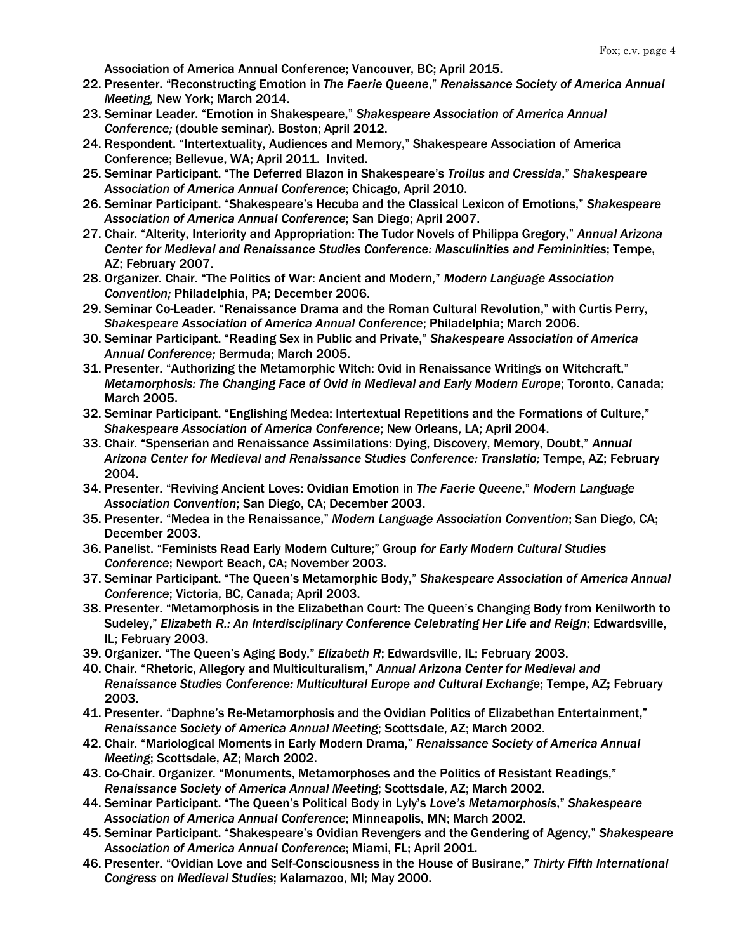Association of America Annual Conference; Vancouver, BC; April 2015.

- 22. Presenter. "Reconstructing Emotion in *The Faerie Queene*," *Renaissance Society of America Annual Meeting,* New York; March 2014.
- 23. Seminar Leader. "Emotion in Shakespeare," *Shakespeare Association of America Annual Conference;* (double seminar). Boston; April 2012.
- 24. Respondent. "Intertextuality, Audiences and Memory," Shakespeare Association of America Conference; Bellevue, WA; April 2011. Invited.
- 25. Seminar Participant. "The Deferred Blazon in Shakespeare's *Troilus and Cressida*," *Shakespeare Association of America Annual Conference*; Chicago, April 2010.
- 26. Seminar Participant. "Shakespeare's Hecuba and the Classical Lexicon of Emotions," *Shakespeare Association of America Annual Conference*; San Diego; April 2007.
- 27. Chair. "Alterity, Interiority and Appropriation: The Tudor Novels of Philippa Gregory," *Annual Arizona Center for Medieval and Renaissance Studies Conference: Masculinities and Femininities*; Tempe, AZ; February 2007.
- 28. Organizer. Chair. "The Politics of War: Ancient and Modern," *Modern Language Association Convention;* Philadelphia, PA; December 2006.
- 29. Seminar Co-Leader. "Renaissance Drama and the Roman Cultural Revolution," with Curtis Perry, *Shakespeare Association of America Annual Conference*; Philadelphia; March 2006.
- 30. Seminar Participant. "Reading Sex in Public and Private," *Shakespeare Association of America Annual Conference;* Bermuda; March 2005.
- 31. Presenter. "Authorizing the Metamorphic Witch: Ovid in Renaissance Writings on Witchcraft," *Metamorphosis: The Changing Face of Ovid in Medieval and Early Modern Europe*; Toronto, Canada; March 2005.
- 32. Seminar Participant. "Englishing Medea: Intertextual Repetitions and the Formations of Culture," *Shakespeare Association of America Conference*; New Orleans, LA; April 2004.
- 33. Chair. "Spenserian and Renaissance Assimilations: Dying, Discovery, Memory, Doubt," *Annual Arizona Center for Medieval and Renaissance Studies Conference: Translatio;* Tempe, AZ; February 2004.
- 34. Presenter. "Reviving Ancient Loves: Ovidian Emotion in *The Faerie Queene*," *Modern Language Association Convention*; San Diego, CA; December 2003.
- 35. Presenter. "Medea in the Renaissance," *Modern Language Association Convention*; San Diego, CA; December 2003.
- 36. Panelist. "Feminists Read Early Modern Culture;" Group *for Early Modern Cultural Studies Conference*; Newport Beach, CA; November 2003.
- 37. Seminar Participant. "The Queen's Metamorphic Body," *Shakespeare Association of America Annual Conference*; Victoria, BC, Canada; April 2003.
- 38. Presenter. "Metamorphosis in the Elizabethan Court: The Queen's Changing Body from Kenilworth to Sudeley," *Elizabeth R.: An Interdisciplinary Conference Celebrating Her Life and Reign*; Edwardsville, IL; February 2003.
- 39. Organizer. "The Queen's Aging Body," *Elizabeth R*; Edwardsville, IL; February 2003.
- 40. Chair. "Rhetoric, Allegory and Multiculturalism," *Annual Arizona Center for Medieval and Renaissance Studies Conference: Multicultural Europe and Cultural Exchange*; Tempe, AZ; February 2003.
- 41. Presenter. "Daphne's Re-Metamorphosis and the Ovidian Politics of Elizabethan Entertainment," *Renaissance Society of America Annual Meeting*; Scottsdale, AZ; March 2002.
- 42. Chair. "Mariological Moments in Early Modern Drama," *Renaissance Society of America Annual Meeting*; Scottsdale, AZ; March 2002.
- 43. Co-Chair. Organizer. "Monuments, Metamorphoses and the Politics of Resistant Readings," *Renaissance Society of America Annual Meeting*; Scottsdale, AZ; March 2002.
- 44. Seminar Participant. "The Queen's Political Body in Lyly's *Love's Metamorphosis*," *Shakespeare Association of America Annual Conference*; Minneapolis, MN; March 2002.
- 45. Seminar Participant. "Shakespeare's Ovidian Revengers and the Gendering of Agency," *Shakespear*e *Association of America Annual Conference*; Miami, FL; April 2001.
- 46. Presenter. "Ovidian Love and Self-Consciousness in the House of Busirane," *Thirty Fifth International Congress on Medieval Studies*; Kalamazoo, MI; May 2000.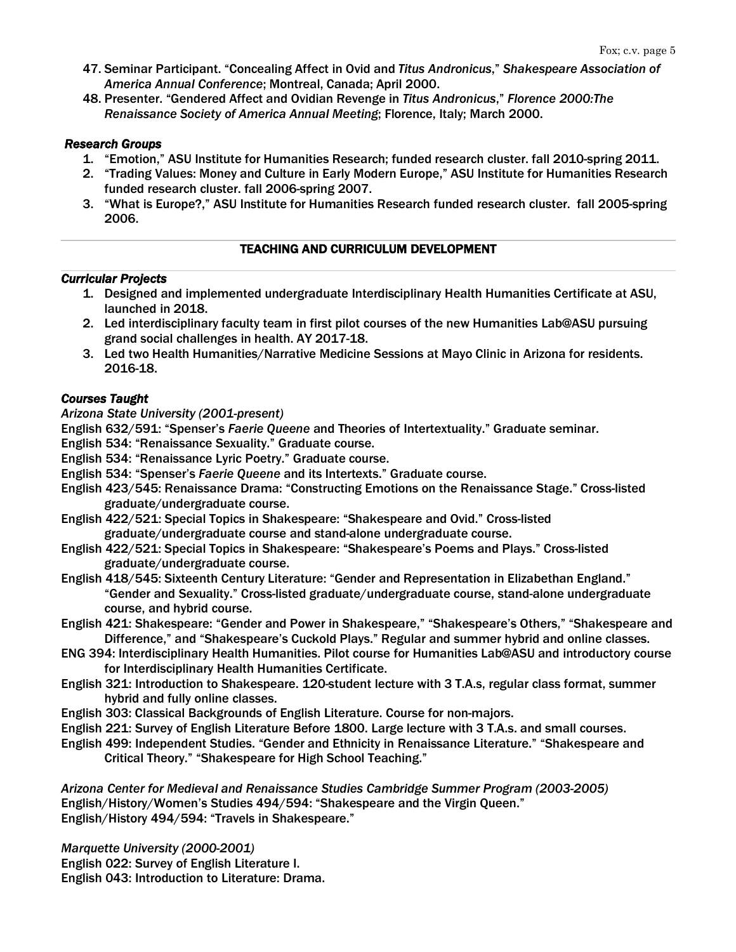- 47. Seminar Participant. "Concealing Affect in Ovid and *Titus Andronicus*," *Shakespeare Association of America Annual Conference*; Montreal, Canada; April 2000.
- 48. Presenter. "Gendered Affect and Ovidian Revenge in *Titus Andronicus*," *Florence 2000:The Renaissance Society of America Annual Meeting*; Florence, Italy; March 2000.

#### *Research Groups*

- 1. "Emotion," ASU Institute for Humanities Research; funded research cluster. fall 2010-spring 2011.
- 2. "Trading Values: Money and Culture in Early Modern Europe," ASU Institute for Humanities Research funded research cluster. fall 2006-spring 2007.
- 3. "What is Europe?," ASU Institute for Humanities Research funded research cluster. fall 2005-spring 2006.

# TEACHING AND CURRICULUM DEVELOPMENT

#### *Curricular Projects*

- 1. Designed and implemented undergraduate Interdisciplinary Health Humanities Certificate at ASU, launched in 2018.
- 2. Led interdisciplinary faculty team in first pilot courses of the new Humanities Lab@ASU pursuing grand social challenges in health. AY 2017-18.
- 3. Led two Health Humanities/Narrative Medicine Sessions at Mayo Clinic in Arizona for residents. 2016-18.

## *Courses Taught*

*Arizona State University (2001-present)*

- English 632/591: "Spenser's *Faerie Queene* and Theories of Intertextuality." Graduate seminar.
- English 534: "Renaissance Sexuality." Graduate course.
- English 534: "Renaissance Lyric Poetry." Graduate course.
- English 534: "Spenser's *Faerie Queene* and its Intertexts." Graduate course.
- English 423/545: Renaissance Drama: "Constructing Emotions on the Renaissance Stage." Cross-listed graduate/undergraduate course.
- English 422/521: Special Topics in Shakespeare: "Shakespeare and Ovid." Cross-listed graduate/undergraduate course and stand-alone undergraduate course.
- English 422/521: Special Topics in Shakespeare: "Shakespeare's Poems and Plays." Cross-listed graduate/undergraduate course.
- English 418/545: Sixteenth Century Literature: "Gender and Representation in Elizabethan England." "Gender and Sexuality." Cross-listed graduate/undergraduate course, stand-alone undergraduate course, and hybrid course.
- English 421: Shakespeare: "Gender and Power in Shakespeare," "Shakespeare's Others," "Shakespeare and Difference," and "Shakespeare's Cuckold Plays." Regular and summer hybrid and online classes.
- ENG 394: Interdisciplinary Health Humanities. Pilot course for Humanities Lab@ASU and introductory course for Interdisciplinary Health Humanities Certificate.
- English 321: Introduction to Shakespeare. 120-student lecture with 3 T.A.s, regular class format, summer hybrid and fully online classes.
- English 303: Classical Backgrounds of English Literature. Course for non-majors.
- English 221: Survey of English Literature Before 1800. Large lecture with 3 T.A.s. and small courses.
- English 499: Independent Studies. "Gender and Ethnicity in Renaissance Literature." "Shakespeare and Critical Theory." "Shakespeare for High School Teaching."

*Arizona Center for Medieval and Renaissance Studies Cambridge Summer Program (2003-2005)* English/History/Women's Studies 494/594: "Shakespeare and the Virgin Queen." English/History 494/594: "Travels in Shakespeare."

*Marquette University (2000-2001)*

English 022: Survey of English Literature I.

English 043: Introduction to Literature: Drama.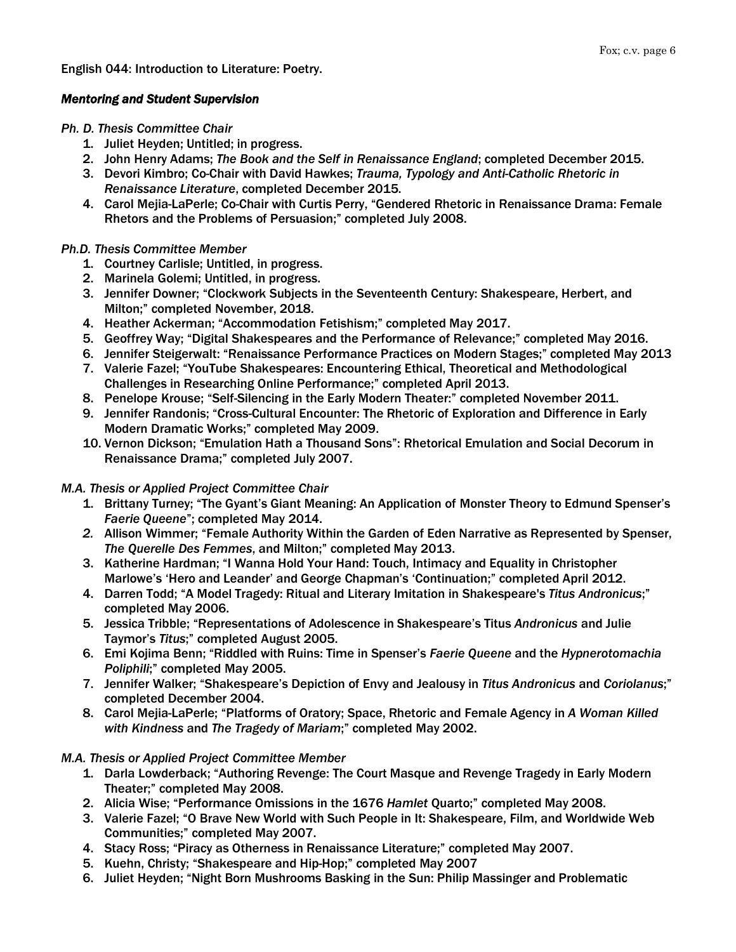English 044: Introduction to Literature: Poetry.

# *Mentoring and Student Supervision*

*Ph. D. Thesis Committee Chair*

- 1. Juliet Heyden; Untitled; in progress.
- 2. John Henry Adams; *The Book and the Self in Renaissance England*; completed December 2015.
- 3. Devori Kimbro; Co-Chair with David Hawkes; *Trauma, Typology and Anti-Catholic Rhetoric in Renaissance Literature*, completed December 2015.
- 4. Carol Mejia-LaPerle; Co-Chair with Curtis Perry, "Gendered Rhetoric in Renaissance Drama: Female Rhetors and the Problems of Persuasion;" completed July 2008.

# *Ph.D. Thesis Committee Member*

- 1. Courtney Carlisle; Untitled, in progress.
- 2. Marinela Golemi; Untitled, in progress.
- 3. Jennifer Downer; "Clockwork Subjects in the Seventeenth Century: Shakespeare, Herbert, and Milton;" completed November, 2018.
- 4. Heather Ackerman; "Accommodation Fetishism;" completed May 2017.
- 5. Geoffrey Way; "Digital Shakespeares and the Performance of Relevance;" completed May 2016.
- 6. Jennifer Steigerwalt: "Renaissance Performance Practices on Modern Stages;" completed May 2013
- 7. Valerie Fazel; "YouTube Shakespeares: Encountering Ethical, Theoretical and Methodological Challenges in Researching Online Performance;" completed April 2013.
- 8. Penelope Krouse; "Self-Silencing in the Early Modern Theater:" completed November 2011.
- 9. Jennifer Randonis; "Cross-Cultural Encounter: The Rhetoric of Exploration and Difference in Early Modern Dramatic Works;" completed May 2009.
- 10. Vernon Dickson; "Emulation Hath a Thousand Sons": Rhetorical Emulation and Social Decorum in Renaissance Drama;" completed July 2007.

# *M.A. Thesis or Applied Project Committee Chair*

- 1. Brittany Turney; "The Gyant's Giant Meaning: An Application of Monster Theory to Edmund Spenser's *Faerie Queene*"; completed May 2014.
- *2.* Allison Wimmer; "Female Authority Within the Garden of Eden Narrative as Represented by Spenser, *The Querelle Des Femmes*, and Milton;" completed May 2013.
- 3. Katherine Hardman; "I Wanna Hold Your Hand: Touch, Intimacy and Equality in Christopher Marlowe's 'Hero and Leander' and George Chapman's 'Continuation;" completed April 2012.
- 4. Darren Todd; "A Model Tragedy: Ritual and Literary Imitation in Shakespeare's *Titus Andronicus*;" completed May 2006.
- 5. Jessica Tribble; "Representations of Adolescence in Shakespeare's Titus *Andronicus* and Julie Taymor's *Titus*;" completed August 2005.
- 6. Emi Kojima Benn; "Riddled with Ruins: Time in Spenser's *Faerie Queene* and the *Hypnerotomachia Poliphili*;" completed May 2005.
- 7. Jennifer Walker; "Shakespeare's Depiction of Envy and Jealousy in *Titus Andronicus* and *Coriolanus*;" completed December 2004.
- 8. Carol Mejia-LaPerle; "Platforms of Oratory; Space, Rhetoric and Female Agency in *A Woman Killed with Kindness* and *The Tragedy of Mariam*;" completed May 2002.

# *M.A. Thesis or Applied Project Committee Member*

- 1. Darla Lowderback; "Authoring Revenge: The Court Masque and Revenge Tragedy in Early Modern Theater;" completed May 2008.
- 2. Alicia Wise; "Performance Omissions in the 1676 *Hamlet* Quarto;" completed May 2008.
- 3. Valerie Fazel; "O Brave New World with Such People in It: Shakespeare, Film, and Worldwide Web Communities;" completed May 2007.
- 4. Stacy Ross; "Piracy as Otherness in Renaissance Literature;" completed May 2007.
- 5. Kuehn, Christy; "Shakespeare and Hip-Hop;" completed May 2007
- 6. Juliet Heyden; "Night Born Mushrooms Basking in the Sun: Philip Massinger and Problematic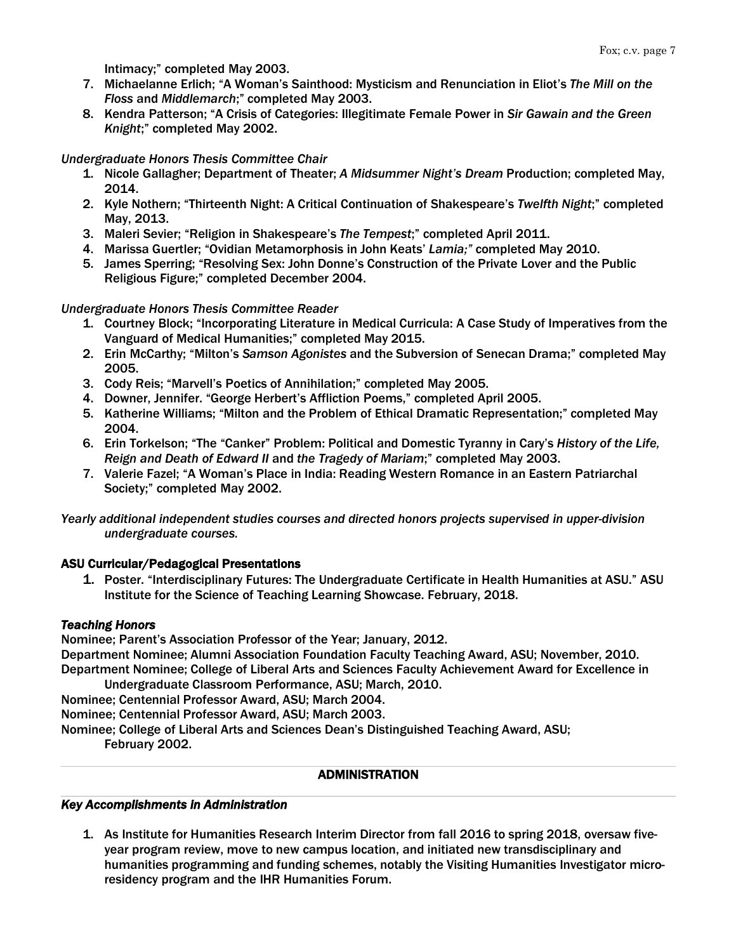Intimacy;" completed May 2003.

- 7. Michaelanne Erlich; "A Woman's Sainthood: Mysticism and Renunciation in Eliot's *The Mill on the Floss* and *Middlemarch*;" completed May 2003.
- 8. Kendra Patterson; "A Crisis of Categories: Illegitimate Female Power in *Sir Gawain and the Green Knight*;" completed May 2002.

## *Undergraduate Honors Thesis Committee Chair*

- 1. Nicole Gallagher; Department of Theater; *A Midsummer Night's Dream* Production; completed May, 2014.
- 2. Kyle Nothern; "Thirteenth Night: A Critical Continuation of Shakespeare's *Twelfth Night*;" completed May, 2013.
- 3. Maleri Sevier; "Religion in Shakespeare's *The Tempest*;" completed April 2011.
- 4. Marissa Guertler; "Ovidian Metamorphosis in John Keats' *Lamia;"* completed May 2010.
- 5. James Sperring; "Resolving Sex: John Donne's Construction of the Private Lover and the Public Religious Figure;" completed December 2004.

## *Undergraduate Honors Thesis Committee Reader*

- 1. Courtney Block; "Incorporating Literature in Medical Curricula: A Case Study of Imperatives from the Vanguard of Medical Humanities;" completed May 2015.
- 2. Erin McCarthy; "Milton's *Samson Agonistes* and the Subversion of Senecan Drama;" completed May 2005.
- 3. Cody Reis; "Marvell's Poetics of Annihilation;" completed May 2005.
- 4. Downer, Jennifer. "George Herbert's Affliction Poems," completed April 2005.
- 5. Katherine Williams; "Milton and the Problem of Ethical Dramatic Representation;" completed May 2004.
- 6. Erin Torkelson; "The "Canker" Problem: Political and Domestic Tyranny in Cary's *History of the Life, Reign and Death of Edward II* and *the Tragedy of Mariam*;" completed May 2003.
- 7. Valerie Fazel; "A Woman's Place in India: Reading Western Romance in an Eastern Patriarchal Society;" completed May 2002.

*Yearly additional independent studies courses and directed honors projects supervised in upper-division undergraduate courses.*

# ASU Curricular/Pedagogical Presentations

1. Poster. "Interdisciplinary Futures: The Undergraduate Certificate in Health Humanities at ASU." ASU Institute for the Science of Teaching Learning Showcase. February, 2018.

#### *Teaching Honors*

Nominee; Parent's Association Professor of the Year; January, 2012.

Department Nominee; Alumni Association Foundation Faculty Teaching Award, ASU; November, 2010. Department Nominee; College of Liberal Arts and Sciences Faculty Achievement Award for Excellence in Undergraduate Classroom Performance, ASU; March, 2010.

Nominee; Centennial Professor Award, ASU; March 2004.

Nominee; Centennial Professor Award, ASU; March 2003.

Nominee; College of Liberal Arts and Sciences Dean's Distinguished Teaching Award, ASU; February 2002.

#### ADMINISTRATION

#### *Key Accomplishments in Administration*

1. As Institute for Humanities Research Interim Director from fall 2016 to spring 2018, oversaw fiveyear program review, move to new campus location, and initiated new transdisciplinary and humanities programming and funding schemes, notably the Visiting Humanities Investigator microresidency program and the IHR Humanities Forum.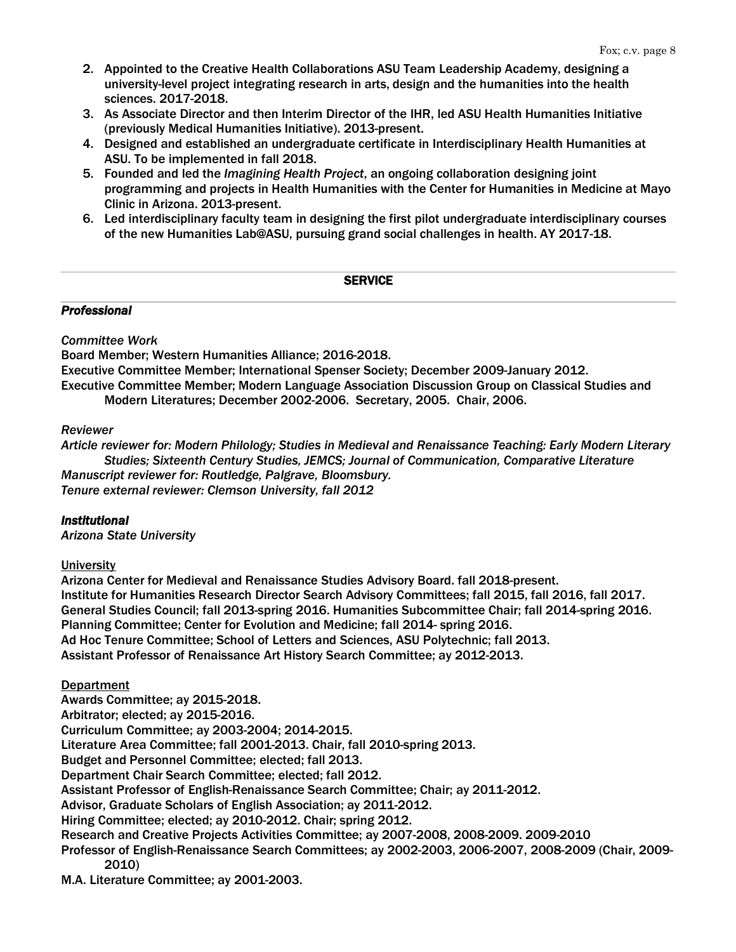- 2. Appointed to the Creative Health Collaborations ASU Team Leadership Academy, designing a university-level project integrating research in arts, design and the humanities into the health sciences. 2017-2018.
- 3. As Associate Director and then Interim Director of the IHR, led ASU Health Humanities Initiative (previously Medical Humanities Initiative). 2013-present.
- 4. Designed and established an undergraduate certificate in Interdisciplinary Health Humanities at ASU. To be implemented in fall 2018.
- 5. Founded and led the *Imagining Health Project*, an ongoing collaboration designing joint programming and projects in Health Humanities with the Center for Humanities in Medicine at Mayo Clinic in Arizona. 2013-present.
- 6. Led interdisciplinary faculty team in designing the first pilot undergraduate interdisciplinary courses of the new Humanities Lab@ASU, pursuing grand social challenges in health. AY 2017-18.

## **SERVICE**

## *Professional*

# *Committee Work*

Board Member; Western Humanities Alliance; 2016-2018.

Executive Committee Member; International Spenser Society; December 2009-January 2012.

Executive Committee Member; Modern Language Association Discussion Group on Classical Studies and Modern Literatures; December 2002-2006. Secretary, 2005. Chair, 2006.

## *Reviewer*

*Article reviewer for: Modern Philology; Studies in Medieval and Renaissance Teaching: Early Modern Literary Studies; Sixteenth Century Studies, JEMCS; Journal of Communication, Comparative Literature Manuscript reviewer for: Routledge, Palgrave, Bloomsbury. Tenure external reviewer: Clemson University, fall 2012*

# *Institutional*

*Arizona State University*

# **University**

Arizona Center for Medieval and Renaissance Studies Advisory Board. fall 2018-present. Institute for Humanities Research Director Search Advisory Committees; fall 2015, fall 2016, fall 2017. General Studies Council; fall 2013-spring 2016. Humanities Subcommittee Chair; fall 2014-spring 2016. Planning Committee; Center for Evolution and Medicine; fall 2014- spring 2016. Ad Hoc Tenure Committee; School of Letters and Sciences, ASU Polytechnic; fall 2013. Assistant Professor of Renaissance Art History Search Committee; ay 2012-2013.

# **Department**

Awards Committee; ay 2015-2018. Arbitrator; elected; ay 2015-2016. Curriculum Committee; ay 2003-2004; 2014-2015. Literature Area Committee; fall 2001-2013. Chair, fall 2010-spring 2013. Budget and Personnel Committee; elected; fall 2013. Department Chair Search Committee; elected; fall 2012. Assistant Professor of English-Renaissance Search Committee; Chair; ay 2011-2012. Advisor, Graduate Scholars of English Association; ay 2011-2012. Hiring Committee; elected; ay 2010-2012. Chair; spring 2012. Research and Creative Projects Activities Committee; ay 2007-2008, 2008-2009. 2009-2010 Professor of English-Renaissance Search Committees; ay 2002-2003, 2006-2007, 2008-2009 (Chair, 2009- 2010)

M.A. Literature Committee; ay 2001-2003.